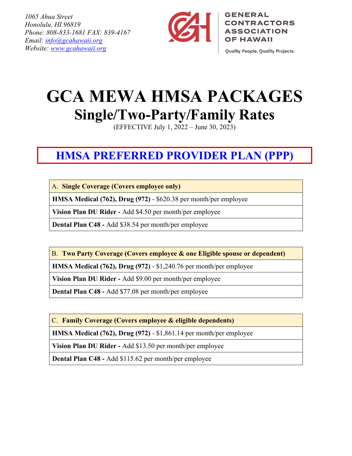*1065 Ahua Street Honolulu, HI 96819 Phone: 808-833-1681 FAX: 839-4167 Email: [info@gcahawaii.org](mailto:info@gcahawaii.org)  Website: [www.gcahawaii.org](http://www.gcahawaii.org/)*



**GENERAL CONTRACTORS ASSOCIATION OF HAWAII** 

Quality People. Quality Projects.

# **GCA MEWA HMSA PACKAGES Single/Two-Party/Family Rates**

(EFFECTIVE July 1, 2022 – June 30, 2023)

## **HMSA PREFERRED PROVIDER PLAN (PPP)**

A. **Single Coverage (Covers employee only)**

**HMSA Medical (762), Drug (972)** - \$620.38 per month/per employee

**Vision Plan DU Rider -** Add \$4.50 per month/per employee

**Dental Plan C48 -** Add \$38.54 per month/per employee

B. **Two Party Coverage (Covers employee & one Eligible spouse or dependent)**

**HMSA Medical (762), Drug (972)** - \$1,240.76 per month/per employee

**Vision Plan DU Rider -** Add \$9.00 per month/per employee

**Dental Plan C48 -** Add \$77.08 per month/per employee

C. **Family Coverage (Covers employee & eligible dependents)**

**HMSA Medical (762), Drug (972)** - \$1,861.14 per month/per employee

**Vision Plan DU Rider -** Add \$13.50 per month/per employee

**Dental Plan C48 -** Add \$115.62 per month/per employee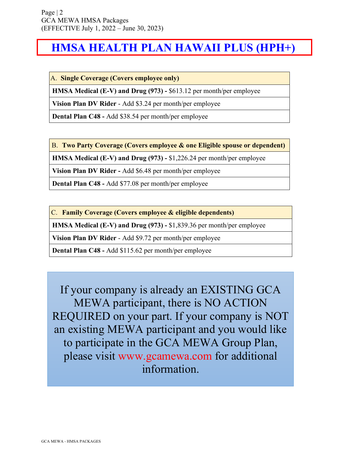### **HMSA HEALTH PLAN HAWAII PLUS (HPH+)**

A. **Single Coverage (Covers employee only)**

**HMSA Medical (E-V) and Drug (973) -** \$613.12 per month/per employee

**Vision Plan DV Rider** - Add \$3.24 per month/per employee

**Dental Plan C48 -** Add \$38.54 per month/per employee

B. **Two Party Coverage (Covers employee & one Eligible spouse or dependent)**

**HMSA Medical (E-V) and Drug (973) -** \$1,226.24 per month/per employee

**Vision Plan DV Rider -** Add \$6.48 per month/per employee

**Dental Plan C48 -** Add \$77.08 per month/per employee

C. **Family Coverage (Covers employee & eligible dependents)**

**HMSA Medical (E-V) and Drug (973) -** \$1,839.36 per month/per employee

**Vision Plan DV Rider** - Add \$9.72 per month/per employee

**Dental Plan C48 -** Add \$115.62 per month/per employee

If your company is already an EXISTING GCA MEWA participant, there is NO ACTION REQUIRED on your part. If your company is NOT an existing MEWA participant and you would like to participate in the GCA MEWA Group Plan, please visit www.gcamewa.com for additional information.